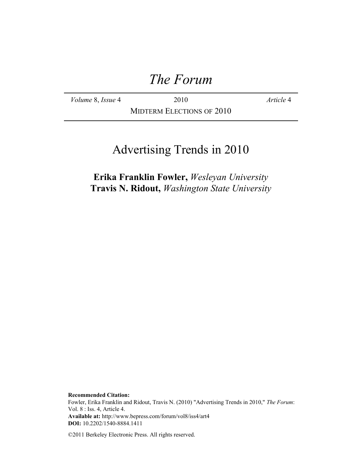# *The Forum*

*Volume* 8, *Issue* 4 2010 *Article* 4

MIDTERM ELECTIONS OF 2010

# Advertising Trends in 2010

**Erika Franklin Fowler,** *Wesleyan University* **Travis N. Ridout,** *Washington State University*

**Recommended Citation:** Fowler, Erika Franklin and Ridout, Travis N. (2010) "Advertising Trends in 2010," *The Forum*: Vol. 8 : Iss. 4, Article 4. **Available at:** http://www.bepress.com/forum/vol8/iss4/art4 **DOI:** 10.2202/1540-8884.1411

©2011 Berkeley Electronic Press. All rights reserved.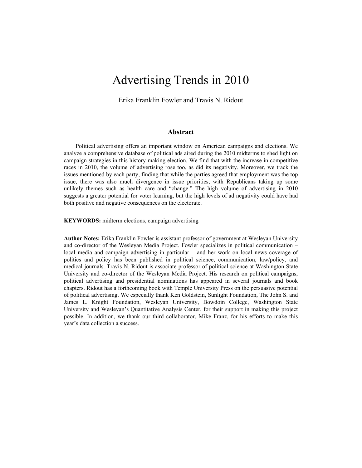# Advertising Trends in 2010

Erika Franklin Fowler and Travis N. Ridout

#### **Abstract**

Political advertising offers an important window on American campaigns and elections. We analyze a comprehensive database of political ads aired during the 2010 midterms to shed light on campaign strategies in this history-making election. We find that with the increase in competitive races in 2010, the volume of advertising rose too, as did its negativity. Moreover, we track the issues mentioned by each party, finding that while the parties agreed that employment was the top issue, there was also much divergence in issue priorities, with Republicans taking up some unlikely themes such as health care and "change." The high volume of advertising in 2010 suggests a greater potential for voter learning, but the high levels of ad negativity could have had both positive and negative consequences on the electorate.

**KEYWORDS:** midterm elections, campaign advertising

**Author Notes:** Erika Franklin Fowler is assistant professor of government at Wesleyan University and co-director of the Wesleyan Media Project. Fowler specializes in political communication – local media and campaign advertising in particular – and her work on local news coverage of politics and policy has been published in political science, communication, law/policy, and medical journals. Travis N. Ridout is associate professor of political science at Washington State University and co-director of the Wesleyan Media Project. His research on political campaigns, political advertising and presidential nominations has appeared in several journals and book chapters. Ridout has a forthcoming book with Temple University Press on the persuasive potential of political advertising. We especially thank Ken Goldstein, Sunlight Foundation, The John S. and James L. Knight Foundation, Wesleyan University, Bowdoin College, Washington State University and Wesleyan's Quantitative Analysis Center, for their support in making this project possible. In addition, we thank our third collaborator, Mike Franz, for his efforts to make this year's data collection a success.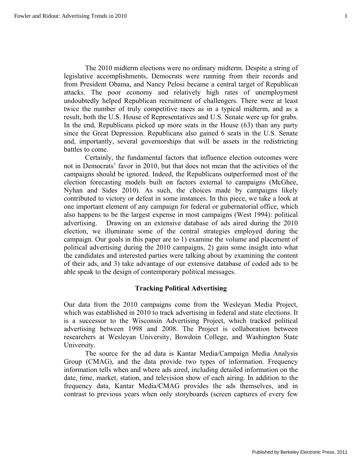The 2010 midterm elections were no ordinary midterm. Despite a string of legislative accomplishments, Democrats were running from their records and from President Obama, and Nancy Pelosi became a central target of Republican attacks. The poor economy and relatively high rates of unemployment undoubtedly helped Republican recruitment of challengers. There were at least twice the number of truly competitive races as in a typical midterm, and as a result, both the U.S. House of Representatives and U.S. Senate were up for grabs. In the end, Republicans picked up more seats in the House (63) than any party since the Great Depression. Republicans also gained 6 seats in the U.S. Senate and, importantly, several governorships that will be assets in the redistricting battles to come.

 Certainly, the fundamental factors that influence election outcomes were not in Democrats' favor in 2010, but that does not mean that the activities of the campaigns should be ignored. Indeed, the Republicans outperformed most of the election forecasting models built on factors external to campaigns (McGhee, Nyhan and Sides 2010). As such, the choices made by campaigns likely contributed to victory or defeat in some instances. In this piece, we take a look at one important element of any campaign for federal or gubernatorial office, which also happens to be the largest expense in most campaigns (West 1994): political advertising. Drawing on an extensive database of ads aired during the 2010 election, we illuminate some of the central strategies employed during the campaign. Our goals in this paper are to 1) examine the volume and placement of political advertising during the 2010 campaigns, 2) gain some insight into what the candidates and interested parties were talking about by examining the content of their ads, and 3) take advantage of our extensive database of coded ads to be able speak to the design of contemporary political messages.

# **Tracking Political Advertising**

Our data from the 2010 campaigns come from the Wesleyan Media Project, which was established in 2010 to track advertising in federal and state elections. It is a successor to the Wisconsin Advertising Project, which tracked political advertising between 1998 and 2008. The Project is collaboration between researchers at Wesleyan University, Bowdoin College, and Washington State University.

The source for the ad data is Kantar Media/Campaign Media Analysis Group (CMAG), and the data provide two types of information. Frequency information tells when and where ads aired, including detailed information on the date, time, market, station, and television show of each airing. In addition to the frequency data, Kantar Media/CMAG provides the ads themselves, and in contrast to previous years when only storyboards (screen captures of every few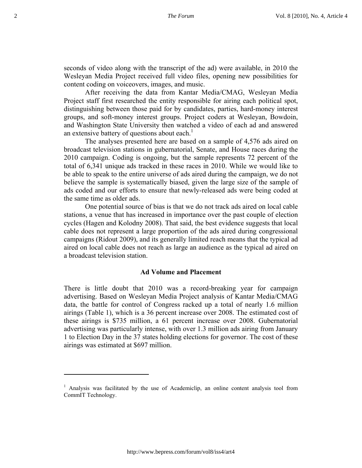seconds of video along with the transcript of the ad) were available, in 2010 the Wesleyan Media Project received full video files, opening new possibilities for content coding on voiceovers, images, and music.

After receiving the data from Kantar Media/CMAG, Wesleyan Media Project staff first researched the entity responsible for airing each political spot, distinguishing between those paid for by candidates, parties, hard-money interest groups, and soft-money interest groups. Project coders at Wesleyan, Bowdoin, and Washington State University then watched a video of each ad and answered an extensive battery of questions about each.<sup>1</sup>

The analyses presented here are based on a sample of 4,576 ads aired on broadcast television stations in gubernatorial, Senate, and House races during the 2010 campaign. Coding is ongoing, but the sample represents 72 percent of the total of 6,341 unique ads tracked in these races in 2010. While we would like to be able to speak to the entire universe of ads aired during the campaign, we do not believe the sample is systematically biased, given the large size of the sample of ads coded and our efforts to ensure that newly-released ads were being coded at the same time as older ads.

One potential source of bias is that we do not track ads aired on local cable stations, a venue that has increased in importance over the past couple of election cycles (Hagen and Kolodny 2008). That said, the best evidence suggests that local cable does not represent a large proportion of the ads aired during congressional campaigns (Ridout 2009), and its generally limited reach means that the typical ad aired on local cable does not reach as large an audience as the typical ad aired on a broadcast television station.

#### **Ad Volume and Placement**

There is little doubt that 2010 was a record-breaking year for campaign advertising. Based on Wesleyan Media Project analysis of Kantar Media/CMAG data, the battle for control of Congress racked up a total of nearly 1.6 million airings (Table 1), which is a 36 percent increase over 2008. The estimated cost of these airings is \$735 million, a 61 percent increase over 2008. Gubernatorial advertising was particularly intense, with over 1.3 million ads airing from January 1 to Election Day in the 37 states holding elections for governor. The cost of these airings was estimated at \$697 million.

<sup>&</sup>lt;sup>1</sup> Analysis was facilitated by the use of Academiclip, an online content analysis tool from CommIT Technology.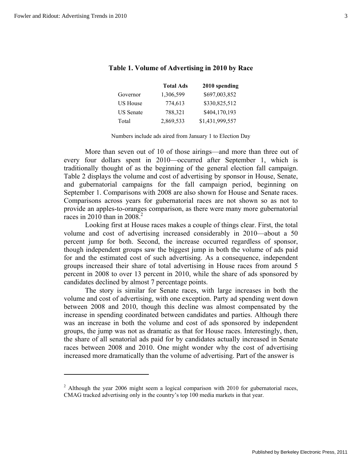|                  | <b>Total Ads</b> | 2010 spending   |
|------------------|------------------|-----------------|
| Governor         | 1,306,599        | \$697,003,852   |
| <b>US House</b>  | 774,613          | \$330,825,512   |
| <b>US</b> Senate | 788,321          | \$404,170,193   |
| Total            | 2,869,533        | \$1,431,999,557 |

# **Table 1. Volume of Advertising in 2010 by Race**

Numbers include ads aired from January 1 to Election Day

More than seven out of 10 of those airings—and more than three out of every four dollars spent in 2010—occurred after September 1, which is traditionally thought of as the beginning of the general election fall campaign. Table 2 displays the volume and cost of advertising by sponsor in House, Senate, and gubernatorial campaigns for the fall campaign period, beginning on September 1. Comparisons with 2008 are also shown for House and Senate races. Comparisons across years for gubernatorial races are not shown so as not to provide an apples-to-oranges comparison, as there were many more gubernatorial races in 2010 than in 2008.<sup>2</sup>

 Looking first at House races makes a couple of things clear. First, the total volume and cost of advertising increased considerably in 2010—about a 50 percent jump for both. Second, the increase occurred regardless of sponsor, though independent groups saw the biggest jump in both the volume of ads paid for and the estimated cost of such advertising. As a consequence, independent groups increased their share of total advertising in House races from around 5 percent in 2008 to over 13 percent in 2010, while the share of ads sponsored by candidates declined by almost 7 percentage points.

 The story is similar for Senate races, with large increases in both the volume and cost of advertising, with one exception. Party ad spending went down between 2008 and 2010, though this decline was almost compensated by the increase in spending coordinated between candidates and parties. Although there was an increase in both the volume and cost of ads sponsored by independent groups, the jump was not as dramatic as that for House races. Interestingly, then, the share of all senatorial ads paid for by candidates actually increased in Senate races between 2008 and 2010. One might wonder why the cost of advertising increased more dramatically than the volume of advertising. Part of the answer is

<sup>&</sup>lt;sup>2</sup> Although the year 2006 might seem a logical comparison with 2010 for gubernatorial races, CMAG tracked advertising only in the country's top 100 media markets in that year.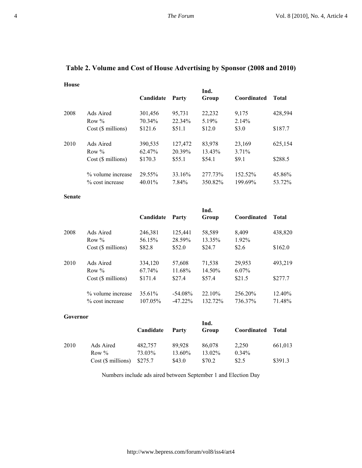|                         | Candidate | Party   | Ind.<br>Group | Coordinated | <b>Total</b> |
|-------------------------|-----------|---------|---------------|-------------|--------------|
| Ads Aired               | 301,456   | 95,731  | 22,232        | 9,175       | 428,594      |
| Row $\%$                | 70.34%    | 22.34%  | 5.19%         | 2.14%       |              |
| $Cost$ ( $\$$ millions) | \$121.6   | \$51.1  | \$12.0        | \$3.0       | \$187.7      |
| Ads Aired               | 390,535   | 127,472 | 83,978        | 23,169      | 625,154      |
| Row $\%$                | 62.47%    | 20.39%  | 13.43%        | $3.71\%$    |              |
| Cost(S~millions)        | \$170.3   | \$55.1  | \$54.1        | \$9.1       | \$288.5      |
| % volume increase       | 29.55%    | 33.16%  | 277.73%       | 152.52%     | 45.86%       |
| % cost increase         | $40.01\%$ | 7.84%   | 350.82%       | 199.69%     | 53.72%       |
|                         |           |         |               |             |              |

# **Table 2. Volume and Cost of House Advertising by Sponsor (2008 and 2010)**

#### **Senate**

**House** 

|      |                         | Candidate | Party      | Ind.<br>Group | Coordinated | Total   |
|------|-------------------------|-----------|------------|---------------|-------------|---------|
| 2008 | Ads Aired               | 246,381   | 125,441    | 58,589        | 8,409       | 438,820 |
|      | Row $\%$                | 56.15%    | 28.59%     | 13.35%        | 1.92%       |         |
|      | $Cost$ ( $\$$ millions) | \$82.8    | \$52.0     | \$24.7        | \$2.6       | \$162.0 |
| 2010 | Ads Aired               | 334,120   | 57,608     | 71,538        | 29,953      | 493,219 |
|      | Row $\%$                | 67.74%    | 11.68%     | 14.50%        | $6.07\%$    |         |
|      | Cost (\$ millions)      | \$171.4   | \$27.4     | \$57.4        | \$21.5      | \$277.7 |
|      | % volume increase       | 35.61%    | $-54.08\%$ | $22.10\%$     | 256.20%     | 12.40%  |
|      | % cost increase         | 107.05%   | $-47.22\%$ | 132.72%       | 736.37%     | 71.48%  |

#### **Governor**

|      |                          | Candidate | Party  | Ind.<br>Group | Coordinated | Total   |
|------|--------------------------|-----------|--------|---------------|-------------|---------|
| 2010 | Ads Aired                | 482,757   | 89.928 | 86,078        | 2,250       | 661,013 |
|      | Row $\%$                 | 73.03%    | 13.60% | 13.02%        | $0.34\%$    |         |
|      | $Cost$ ( $\$\$ millions) | \$275.7   | \$43.0 | \$70.2        | \$2.5       | \$391.3 |

Numbers include ads aired between September 1 and Election Day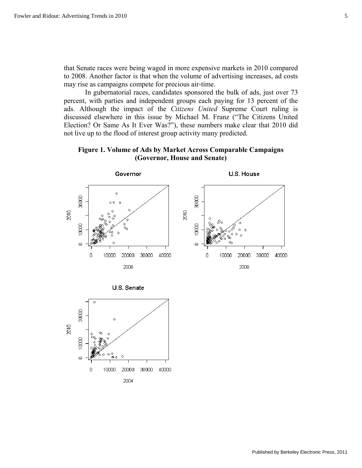that Senate races were being waged in more expensive markets in 2010 compared to 2008. Another factor is that when the volume of advertising increases, ad costs may rise as campaigns compete for precious air-time.

 In gubernatorial races, candidates sponsored the bulk of ads, just over 73 percent, with parties and independent groups each paying for 13 percent of the ads. Although the impact of the *Citizens United* Supreme Court ruling is discussed elsewhere in this issue by Michael M. Franz ("The Citizens United Election? Or Same As It Ever Was?"), these numbers make clear that 2010 did not live up to the flood of interest group activity many predicted.

**Figure 1. Volume of Ads by Market Across Comparable Campaigns (Governor, House and Senate)** 



U.S. Senate

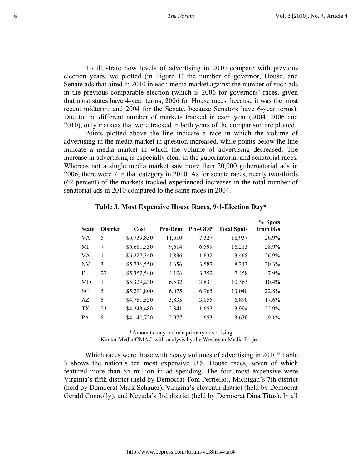To illustrate how levels of advertising in 2010 compare with previous election years, we plotted (in Figure 1) the number of governor, House, and Senate ads that aired in 2010 in each media market against the number of such ads in the previous comparable election (which is 2006 for governors' races, given that most states have 4-year terms; 2006 for House races, because it was the most recent midterm; and 2004 for the Senate, because Senators have 6-year terms). Due to the different number of markets tracked in each year (2004, 2006 and 2010), only markets that were tracked in both years of the comparison are plotted.

 Points plotted above the line indicate a race in which the volume of advertising in the media market in question increased, while points below the line indicate a media market in which the volume of advertising decreased. The increase in advertising is especially clear in the gubernatorial and senatorial races. Whereas not a single media market saw more than 20,000 gubernatorial ads in 2006, there were 7 in that category in 2010. As for senate races, nearly two-thirds (62 percent) of the markets tracked experienced increases in the total number of senatorial ads in 2010 compared to the same races in 2004.

| <b>State</b>    | <b>District</b> | Cost        | <b>Pro-Dem</b> | <b>Pro-GOP</b> | <b>Total Spots</b> | % Spots<br>from IGs |
|-----------------|-----------------|-------------|----------------|----------------|--------------------|---------------------|
| VA              | 5               | \$6,739,830 | 11,610         | 7,327          | 18,937             | 26.9%               |
| МI              | 7               | \$6,661,530 | 9,614          | 6,599          | 16,213             | 28.9%               |
| VA              | 11              | \$6,227,340 | 1,836          | 1,632          | 3,468              | 26.9%               |
| NV              | 3               | \$5,736,550 | 4,656          | 3,587          | 8,243              | 20.3%               |
| FL.             | 22              | \$5,352,540 | 4,106          | 3,352          | 7,458              | 7.9%                |
| MD              | 1               | \$5,329,230 | 6,532          | 3,831          | 10,363             | 10.4%               |
| <b>SC</b>       | 5               | \$5,291,800 | 6,075          | 6,965          | 13,040             | 22.8%               |
| AZ              | 5               | \$4,781,530 | 3,835          | 3,055          | 6,890              | 17.6%               |
| TX <sup>-</sup> | 23              | \$4,243,480 | 2,341          | 1,653          | 3,994              | 22.9%               |
| PA              | 8               | \$4,140,720 | 2,977          | 653            | 3,630              | $9.1\%$             |

#### **Table 3. Most Expensive House Races, 9/1-Election Day\***

\*Amounts may include primary advertising Kantar Media/CMAG with analysis by the Wesleyan Media Project

 Which races were those with heavy volumes of advertising in 2010? Table 3 shows the nation's ten most expensive U.S. House races, seven of which featured more than \$5 million in ad spending. The four most expensive were Virginia's fifth district (held by Democrat Tom Perriello), Michigan's 7th district (held by Democrat Mark Schauer), Virigina's eleventh district (held by Democrat Gerald Connolly), and Nevada's 3rd district (held by Democrat Dina Titus). In all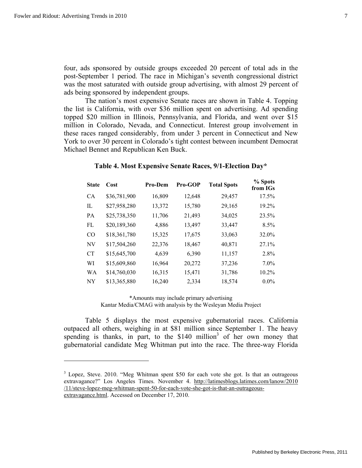four, ads sponsored by outside groups exceeded 20 percent of total ads in the post-September 1 period. The race in Michigan's seventh congressional district was the most saturated with outside group advertising, with almost 29 percent of ads being sponsored by independent groups.

 The nation's most expensive Senate races are shown in Table 4. Topping the list is California, with over \$36 million spent on advertising. Ad spending topped \$20 million in Illinois, Pennsylvania, and Florida, and went over \$15 million in Colorado, Nevada, and Connecticut. Interest group involvement in these races ranged considerably, from under 3 percent in Connecticut and New York to over 30 percent in Colorado's tight contest between incumbent Democrat Michael Bennet and Republican Ken Buck.

| <b>State</b> | Cost         | <b>Pro-Dem</b> | Pro-GOP | <b>Total Spots</b> | % Spots<br>from IGs |
|--------------|--------------|----------------|---------|--------------------|---------------------|
| <b>CA</b>    | \$36,781,900 | 16,809         | 12,648  | 29,457             | 17.5%               |
| IL           | \$27,958,280 | 13,372         | 15,780  | 29,165             | 19.2%               |
| PA           | \$25,738,350 | 11,706         | 21,493  | 34,025             | 23.5%               |
| FL           | \$20,189,360 | 4,886          | 13,497  | 33,447             | 8.5%                |
| CO           | \$18,361,780 | 15,325         | 17,675  | 33,063             | 32.0%               |
| NV           | \$17,504,260 | 22,376         | 18,467  | 40,871             | 27.1%               |
| <b>CT</b>    | \$15,645,700 | 4,639          | 6,390   | 11,157             | 2.8%                |
| WI           | \$15,609,860 | 16,964         | 20,272  | 37,236             | $7.0\%$             |
| WA           | \$14,760,030 | 16,315         | 15,471  | 31,786             | 10.2%               |
| NY.          | \$13,365,880 | 16,240         | 2,334   | 18,574             | $0.0\%$             |

## **Table 4. Most Expensive Senate Races, 9/1-Election Day\***

\*Amounts may include primary advertising Kantar Media/CMAG with analysis by the Wesleyan Media Project

 Table 5 displays the most expensive gubernatorial races. California outpaced all others, weighing in at \$81 million since September 1. The heavy spending is thanks, in part, to the \$140 million<sup>3</sup> of her own money that gubernatorial candidate Meg Whitman put into the race. The three-way Florida

<sup>&</sup>lt;sup>3</sup> Lopez, Steve. 2010. "Meg Whitman spent \$50 for each vote she got. Is that an outrageous extravagance?" Los Angeles Times. November 4. http://latimesblogs.latimes.com/lanow/2010 /11/steve-lopez-meg-whitman-spent-50-for-each-vote-she-got-is-that-an-outrageousextravagance.html. Accessed on December 17, 2010.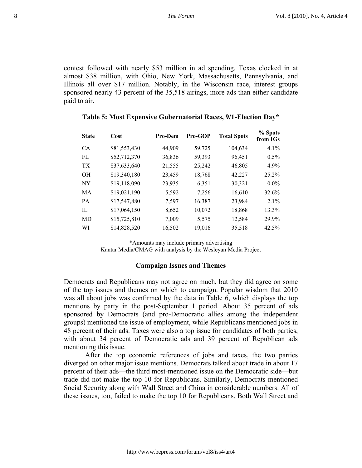contest followed with nearly \$53 million in ad spending. Texas clocked in at almost \$38 million, with Ohio, New York, Massachusetts, Pennsylvania, and Illinois all over \$17 million. Notably, in the Wisconsin race, interest groups sponsored nearly 43 percent of the 35,518 airings, more ads than either candidate paid to air.

| <b>State</b> | Cost         | <b>Pro-Dem</b> | <b>Pro-GOP</b> | <b>Total Spots</b> | % Spots<br>from IGs |
|--------------|--------------|----------------|----------------|--------------------|---------------------|
| <b>CA</b>    | \$81,553,430 | 44,909         | 59,725         | 104,634            | 4.1%                |
| FL           | \$52,712,370 | 36,836         | 59,393         | 96,451             | $0.5\%$             |
| TX.          | \$37,633,640 | 21,555         | 25,242         | 46,805             | 4.9%                |
| <b>OH</b>    | \$19,340,180 | 23,459         | 18,768         | 42,227             | 25.2%               |
| <b>NY</b>    | \$19,118,090 | 23,935         | 6,351          | 30,321             | $0.0\%$             |
| MA           | \$19,021,190 | 5,592          | 7,256          | 16,610             | 32.6%               |
| PA           | \$17,547,880 | 7,597          | 16,387         | 23,984             | $2.1\%$             |
| $\Pi$ .      | \$17,064,150 | 8,652          | 10,072         | 18,868             | 13.3%               |
| MD           | \$15,725,810 | 7,009          | 5,575          | 12,584             | 29.9%               |
| WI           | \$14,828,520 | 16,502         | 19,016         | 35,518             | 42.5%               |

## **Table 5: Most Expensive Gubernatorial Races, 9/1-Election Day\***

\*Amounts may include primary advertising

Kantar Media/CMAG with analysis by the Wesleyan Media Project

#### **Campaign Issues and Themes**

Democrats and Republicans may not agree on much, but they did agree on some of the top issues and themes on which to campaign. Popular wisdom that 2010 was all about jobs was confirmed by the data in Table 6, which displays the top mentions by party in the post-September 1 period. About 35 percent of ads sponsored by Democrats (and pro-Democratic allies among the independent groups) mentioned the issue of employment, while Republicans mentioned jobs in 48 percent of their ads. Taxes were also a top issue for candidates of both parties, with about 34 percent of Democratic ads and 39 percent of Republican ads mentioning this issue.

After the top economic references of jobs and taxes, the two parties diverged on other major issue mentions. Democrats talked about trade in about 17 percent of their ads—the third most-mentioned issue on the Democratic side—but trade did not make the top 10 for Republicans. Similarly, Democrats mentioned Social Security along with Wall Street and China in considerable numbers. All of these issues, too, failed to make the top 10 for Republicans. Both Wall Street and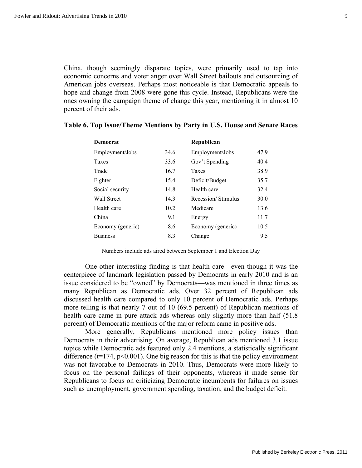China, though seemingly disparate topics, were primarily used to tap into economic concerns and voter anger over Wall Street bailouts and outsourcing of American jobs overseas. Perhaps most noticeable is that Democratic appeals to hope and change from 2008 were gone this cycle. Instead, Republicans were the ones owning the campaign theme of change this year, mentioning it in almost 10 percent of their ads.

| <b>Democrat</b>    |      | Republican         |      |
|--------------------|------|--------------------|------|
| Employment/Jobs    | 34.6 | Employment/Jobs    | 47.9 |
| Taxes              | 33.6 | Gov't Spending     | 40.4 |
| Trade              | 16.7 | Taxes              | 38.9 |
| Fighter            | 15.4 | Deficit/Budget     | 35.7 |
| Social security    | 14.8 | Health care        | 32.4 |
| <b>Wall Street</b> | 14.3 | Recession/Stimulus | 30.0 |
| Health care        | 10.2 | Medicare           | 13.6 |
| China              | 9.1  | Energy             | 11.7 |
| Economy (generic)  | 8.6  | Economy (generic)  | 10.5 |
| <b>Business</b>    | 8.3  | Change             | 9.5  |

# **Table 6. Top Issue/Theme Mentions by Party in U.S. House and Senate Races**

Numbers include ads aired between September 1 and Election Day

 One other interesting finding is that health care—even though it was the centerpiece of landmark legislation passed by Democrats in early 2010 and is an issue considered to be "owned" by Democrats—was mentioned in three times as many Republican as Democratic ads. Over 32 percent of Republican ads discussed health care compared to only 10 percent of Democratic ads. Perhaps more telling is that nearly 7 out of 10 (69.5 percent) of Republican mentions of health care came in pure attack ads whereas only slightly more than half (51.8) percent) of Democratic mentions of the major reform came in positive ads.

 More generally, Republicans mentioned more policy issues than Democrats in their advertising. On average, Republican ads mentioned 3.1 issue topics while Democratic ads featured only 2.4 mentions, a statistically significant difference ( $t=174$ ,  $p<0.001$ ). One big reason for this is that the policy environment was not favorable to Democrats in 2010. Thus, Democrats were more likely to focus on the personal failings of their opponents, whereas it made sense for Republicans to focus on criticizing Democratic incumbents for failures on issues such as unemployment, government spending, taxation, and the budget deficit.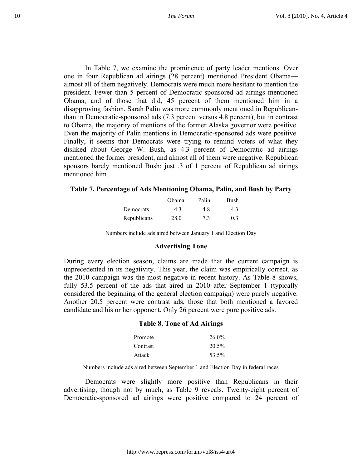In Table 7, we examine the prominence of party leader mentions. Over one in four Republican ad airings (28 percent) mentioned President Obama almost all of them negatively. Democrats were much more hesitant to mention the president. Fewer than 5 percent of Democratic-sponsored ad airings mentioned Obama, and of those that did, 45 percent of them mentioned him in a disapproving fashion. Sarah Palin was more commonly mentioned in Republicanthan in Democratic-sponsored ads (7.3 percent versus 4.8 percent), but in contrast to Obama, the majority of mentions of the former Alaska governor were positive. Even the majority of Palin mentions in Democratic-sponsored ads were positive. Finally, it seems that Democrats were trying to remind voters of what they disliked about George W. Bush, as 4.3 percent of Democratic ad airings mentioned the former president, and almost all of them were negative. Republican sponsors barely mentioned Bush; just .3 of 1 percent of Republican ad airings mentioned him.

#### **Table 7. Percentage of Ads Mentioning Obama, Palin, and Bush by Party**

|                  | Obama | Palin | Bush |
|------------------|-------|-------|------|
| <b>Democrats</b> | 4.3   | 48    | 4.3  |
| Republicans      | 28.0  | 7.3   | (13) |

Numbers include ads aired between January 1 and Election Day

## **Advertising Tone**

During every election season, claims are made that the current campaign is unprecedented in its negativity. This year, the claim was empirically correct, as the 2010 campaign was the most negative in recent history. As Table 8 shows, fully 53.5 percent of the ads that aired in 2010 after September 1 (typically considered the beginning of the general election campaign) were purely negative. Another 20.5 percent were contrast ads, those that both mentioned a favored candidate and his or her opponent. Only 26 percent were pure positive ads.

#### **Table 8. Tone of Ad Airings**

| Promote  | $26.0\%$ |
|----------|----------|
| Contrast | 20.5%    |
| Attack   | 53.5%    |

Numbers include ads aired between September 1 and Election Day in federal races

Democrats were slightly more positive than Republicans in their advertising, though not by much, as Table 9 reveals. Twenty-eight percent of Democratic-sponsored ad airings were positive compared to 24 percent of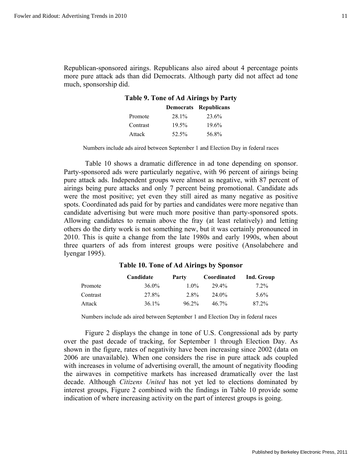Republican-sponsored airings. Republicans also aired about 4 percentage points more pure attack ads than did Democrats. Although party did not affect ad tone much, sponsorship did.

# **Table 9. Tone of Ad Airings by Party**

|          |       | Democrats Republicans |
|----------|-------|-----------------------|
| Promote  | 28.1% | 23.6%                 |
| Contrast | 19.5% | $19.6\%$              |
| Attack   | 52.5% | 56.8%                 |

Numbers include ads aired between September 1 and Election Day in federal races

 Table 10 shows a dramatic difference in ad tone depending on sponsor. Party-sponsored ads were particularly negative, with 96 percent of airings being pure attack ads. Independent groups were almost as negative, with 87 percent of airings being pure attacks and only 7 percent being promotional. Candidate ads were the most positive; yet even they still aired as many negative as positive spots. Coordinated ads paid for by parties and candidates were more negative than candidate advertising but were much more positive than party-sponsored spots. Allowing candidates to remain above the fray (at least relatively) and letting others do the dirty work is not something new, but it was certainly pronounced in 2010. This is quite a change from the late 1980s and early 1990s, when about three quarters of ads from interest groups were positive (Ansolabehere and Iyengar 1995).

#### **Table 10. Tone of Ad Airings by Sponsor**

|          | Candidate | Party    | Coordinated | Ind. Group |
|----------|-----------|----------|-------------|------------|
| Promote  | $36.0\%$  | $1.0\%$  | 29.4%       | $7.2\%$    |
| Contrast | 27.8%     | 2.8%     | 24.0%       | $5.6\%$    |
| Attack   | 36.1%     | $96.2\%$ | $46.7\%$    | 87.2%      |

Numbers include ads aired between September 1 and Election Day in federal races

 Figure 2 displays the change in tone of U.S. Congressional ads by party over the past decade of tracking, for September 1 through Election Day. As shown in the figure, rates of negativity have been increasing since 2002 (data on 2006 are unavailable). When one considers the rise in pure attack ads coupled with increases in volume of advertising overall, the amount of negativity flooding the airwaves in competitive markets has increased dramatically over the last decade. Although *Citizens United* has not yet led to elections dominated by interest groups, Figure 2 combined with the findings in Table 10 provide some indication of where increasing activity on the part of interest groups is going.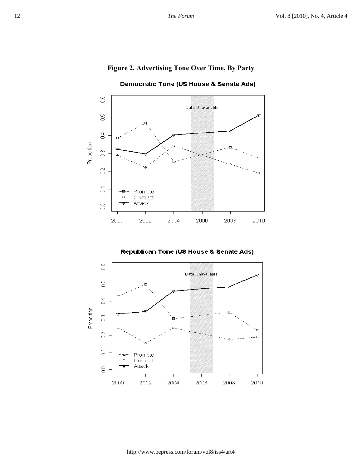# **Figure 2. Advertising Tone Over Time, By Party**



Democratic Tone (US House & Senate Ads)

**Republican Tone (US House & Senate Ads)** 

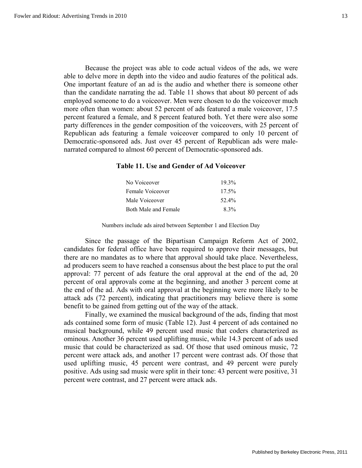Because the project was able to code actual videos of the ads, we were able to delve more in depth into the video and audio features of the political ads. One important feature of an ad is the audio and whether there is someone other than the candidate narrating the ad. Table 11 shows that about 80 percent of ads employed someone to do a voiceover. Men were chosen to do the voiceover much more often than women: about 52 percent of ads featured a male voiceover, 17.5 percent featured a female, and 8 percent featured both. Yet there were also some party differences in the gender composition of the voiceovers, with 25 percent of Republican ads featuring a female voiceover compared to only 10 percent of Democratic-sponsored ads. Just over 45 percent of Republican ads were malenarrated compared to almost 60 percent of Democratic-sponsored ads.

# **Table 11. Use and Gender of Ad Voiceover**

| No Voiceover         | $19.3\%$ |
|----------------------|----------|
| Female Voiceover     | $17.5\%$ |
| Male Voiceover       | $52.4\%$ |
| Both Male and Female | $8.3\%$  |

Numbers include ads aired between September 1 and Election Day

 Since the passage of the Bipartisan Campaign Reform Act of 2002, candidates for federal office have been required to approve their messages, but there are no mandates as to where that approval should take place. Nevertheless, ad producers seem to have reached a consensus about the best place to put the oral approval: 77 percent of ads feature the oral approval at the end of the ad, 20 percent of oral approvals come at the beginning, and another 3 percent come at the end of the ad. Ads with oral approval at the beginning were more likely to be attack ads (72 percent), indicating that practitioners may believe there is some benefit to be gained from getting out of the way of the attack.

 Finally, we examined the musical background of the ads, finding that most ads contained some form of music (Table 12). Just 4 percent of ads contained no musical background, while 49 percent used music that coders characterized as ominous. Another 36 percent used uplifting music, while 14.3 percent of ads used music that could be characterized as sad. Of those that used ominous music, 72 percent were attack ads, and another 17 percent were contrast ads. Of those that used uplifting music, 45 percent were contrast, and 49 percent were purely positive. Ads using sad music were split in their tone: 43 percent were positive, 31 percent were contrast, and 27 percent were attack ads.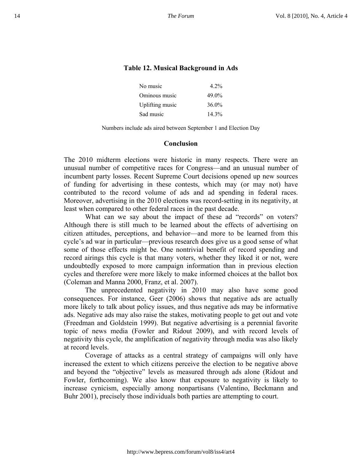# **Table 12. Musical Background in Ads**

| No music        | $4.2\%$  |
|-----------------|----------|
| Ominous music   | 49.0%    |
| Uplifting music | $36.0\%$ |
| Sad music       | $14.3\%$ |

Numbers include ads aired between September 1 and Election Day

### **Conclusion**

The 2010 midterm elections were historic in many respects. There were an unusual number of competitive races for Congress—and an unusual number of incumbent party losses. Recent Supreme Court decisions opened up new sources of funding for advertising in these contests, which may (or may not) have contributed to the record volume of ads and ad spending in federal races. Moreover, advertising in the 2010 elections was record-setting in its negativity, at least when compared to other federal races in the past decade.

What can we say about the impact of these ad "records" on voters? Although there is still much to be learned about the effects of advertising on citizen attitudes, perceptions, and behavior—and more to be learned from this cycle's ad war in particular—previous research does give us a good sense of what some of those effects might be. One nontrivial benefit of record spending and record airings this cycle is that many voters, whether they liked it or not, were undoubtedly exposed to more campaign information than in previous election cycles and therefore were more likely to make informed choices at the ballot box (Coleman and Manna 2000, Franz, et al. 2007).

The unprecedented negativity in 2010 may also have some good consequences. For instance, Geer (2006) shows that negative ads are actually more likely to talk about policy issues, and thus negative ads may be informative ads. Negative ads may also raise the stakes, motivating people to get out and vote (Freedman and Goldstein 1999). But negative advertising is a perennial favorite topic of news media (Fowler and Ridout 2009), and with record levels of negativity this cycle, the amplification of negativity through media was also likely at record levels.

Coverage of attacks as a central strategy of campaigns will only have increased the extent to which citizens perceive the election to be negative above and beyond the "objective" levels as measured through ads alone (Ridout and Fowler, forthcoming). We also know that exposure to negativity is likely to increase cynicism, especially among nonpartisans (Valentino, Beckmann and Buhr 2001), precisely those individuals both parties are attempting to court.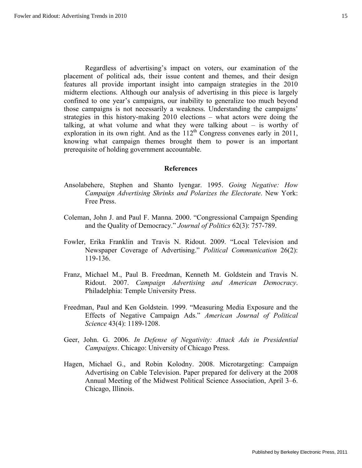Regardless of advertising's impact on voters, our examination of the placement of political ads, their issue content and themes, and their design features all provide important insight into campaign strategies in the 2010 midterm elections. Although our analysis of advertising in this piece is largely confined to one year's campaigns, our inability to generalize too much beyond those campaigns is not necessarily a weakness. Understanding the campaigns' strategies in this history-making 2010 elections – what actors were doing the talking, at what volume and what they were talking about – is worthy of exploration in its own right. And as the  $112<sup>th</sup>$  Congress convenes early in 2011, knowing what campaign themes brought them to power is an important prerequisite of holding government accountable.

### **References**

- Ansolabehere, Stephen and Shanto Iyengar. 1995. *Going Negative: How Campaign Advertising Shrinks and Polarizes the Electorate*. New York: Free Press.
- Coleman, John J. and Paul F. Manna. 2000. "Congressional Campaign Spending and the Quality of Democracy." *Journal of Politics* 62(3): 757-789.
- Fowler, Erika Franklin and Travis N. Ridout. 2009. "Local Television and Newspaper Coverage of Advertising." *Political Communication* 26(2): 119-136.
- Franz, Michael M., Paul B. Freedman, Kenneth M. Goldstein and Travis N. Ridout. 2007. *Campaign Advertising and American Democracy*. Philadelphia: Temple University Press.
- Freedman, Paul and Ken Goldstein. 1999. "Measuring Media Exposure and the Effects of Negative Campaign Ads." *American Journal of Political Science* 43(4): 1189-1208.
- Geer, John. G. 2006. *In Defense of Negativity: Attack Ads in Presidential Campaigns*. Chicago: University of Chicago Press.
- Hagen, Michael G., and Robin Kolodny. 2008. Microtargeting: Campaign Advertising on Cable Television. Paper prepared for delivery at the 2008 Annual Meeting of the Midwest Political Science Association, April 3–6. Chicago, Illinois.